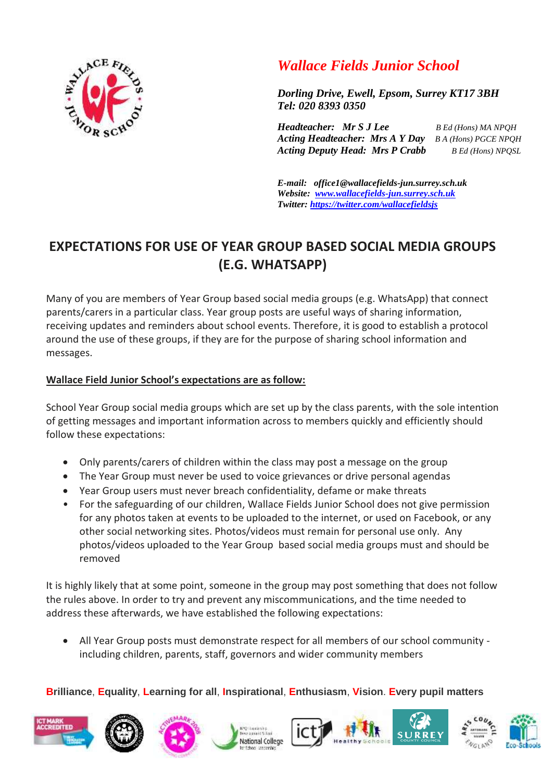

## *Wallace Fields Junior School*

*Dorling Drive, Ewell, Epsom, Surrey KT17 3BH Tel: 020 8393 0350* 

*Headteacher: Mr S J Lee B Ed (Hons) MA NPQH Acting Headteacher: Mrs A Y Day B A (Hons) PGCE NPQH Acting Deputy Head: Mrs P Crabb B Ed (Hons) NPQSL*

*E-mail: office1@wallacefields-jun.surrey.sch.uk Website: [www.wallacefields-jun.surrey.sch.uk](http://www.wallacefields-jun.surrey.sch.uk/) Twitter: <https://twitter.com/wallacefieldsjs>*

## **EXPECTATIONS FOR USE OF YEAR GROUP BASED SOCIAL MEDIA GROUPS (E.G. WHATSAPP)**

Many of you are members of Year Group based social media groups (e.g. WhatsApp) that connect parents/carers in a particular class. Year group posts are useful ways of sharing information, receiving updates and reminders about school events. Therefore, it is good to establish a protocol around the use of these groups, if they are for the purpose of sharing school information and messages.

## **Wallace Field Junior School's expectations are as follow:**

School Year Group social media groups which are set up by the class parents, with the sole intention of getting messages and important information across to members quickly and efficiently should follow these expectations:

- Only parents/carers of children within the class may post a message on the group
- The Year Group must never be used to voice grievances or drive personal agendas
- Year Group users must never breach confidentiality, defame or make threats
- For the safeguarding of our children, Wallace Fields Junior School does not give permission for any photos taken at events to be uploaded to the internet, or used on Facebook, or any other social networking sites. Photos/videos must remain for personal use only. Any photos/videos uploaded to the Year Group based social media groups must and should be removed

It is highly likely that at some point, someone in the group may post something that does not follow the rules above. In order to try and prevent any miscommunications, and the time needed to address these afterwards, we have established the following expectations:

 All Year Group posts must demonstrate respect for all members of our school community including children, parents, staff, governors and wider community members

## **Brilliance**, **Equality**, **Learning for all**, **Inspirational**, **Enthusiasm**, **Vision**. **Every pupil matters**